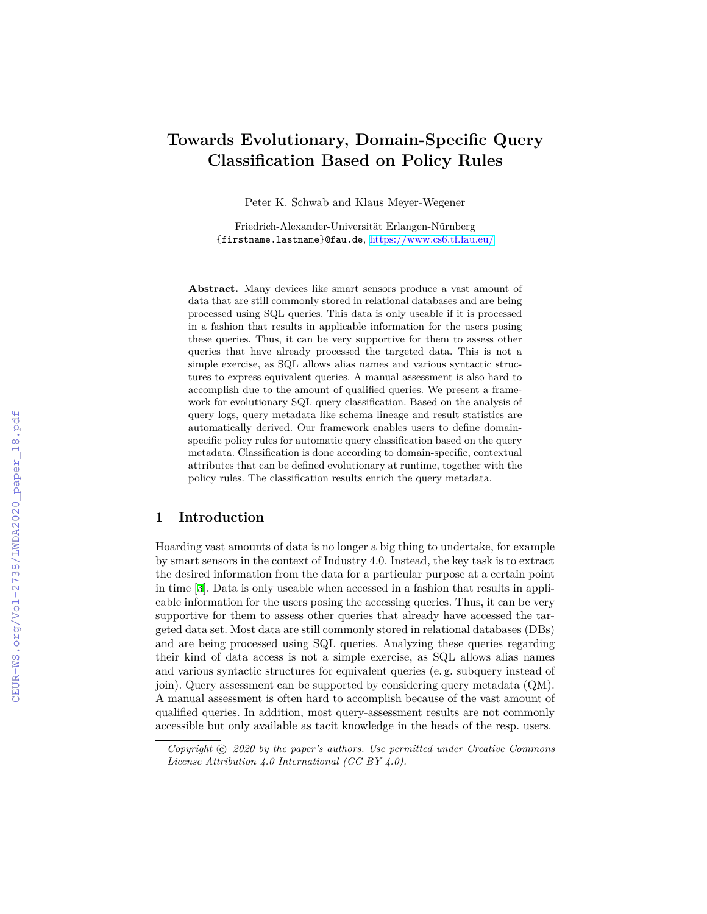# **Towards Evolutionary, Domain-Specific Query Classification Based on Policy Rules**

Peter K. Schwab and Klaus Meyer-Wegener

Friedrich-Alexander-Universität Erlangen-Nürnberg {firstname.lastname}@fau.de, <https://www.cs6.tf.fau.eu/>

**Abstract.** Many devices like smart sensors produce a vast amount of data that are still commonly stored in relational databases and are being processed using SQL queries. This data is only useable if it is processed in a fashion that results in applicable information for the users posing these queries. Thus, it can be very supportive for them to assess other queries that have already processed the targeted data. This is not a simple exercise, as SQL allows alias names and various syntactic structures to express equivalent queries. A manual assessment is also hard to accomplish due to the amount of qualified queries. We present a framework for evolutionary SQL query classification. Based on the analysis of query logs, query metadata like schema lineage and result statistics are automatically derived. Our framework enables users to define domainspecific policy rules for automatic query classification based on the query metadata. Classification is done according to domain-specific, contextual attributes that can be defined evolutionary at runtime, together with the policy rules. The classification results enrich the query metadata.

# **1 Introduction**

Hoarding vast amounts of data is no longer a big thing to undertake, for example by smart sensors in the context of Industry 4.0. Instead, the key task is to extract the desired information from the data for a particular purpose at a certain point in time [\[3](#page--1-0)]. Data is only useable when accessed in a fashion that results in applicable information for the users posing the accessing queries. Thus, it can be very supportive for them to assess other queries that already have accessed the targeted data set. Most data are still commonly stored in relational databases (DBs) and are being processed using SQL queries. Analyzing these queries regarding their kind of data access is not a simple exercise, as SQL allows alias names and various syntactic structures for equivalent queries (e. g. subquery instead of join). Query assessment can be supported by considering query metadata (QM). A manual assessment is often hard to accomplish because of the vast amount of qualified queries. In addition, most query-assessment results are not commonly accessible but only available as tacit knowledge in the heads of the resp. users.

*Copyright*  $\odot$  2020 by the paper's authors. Use permitted under Creative Commons *License Attribution 4.0 International (CC BY 4.0).*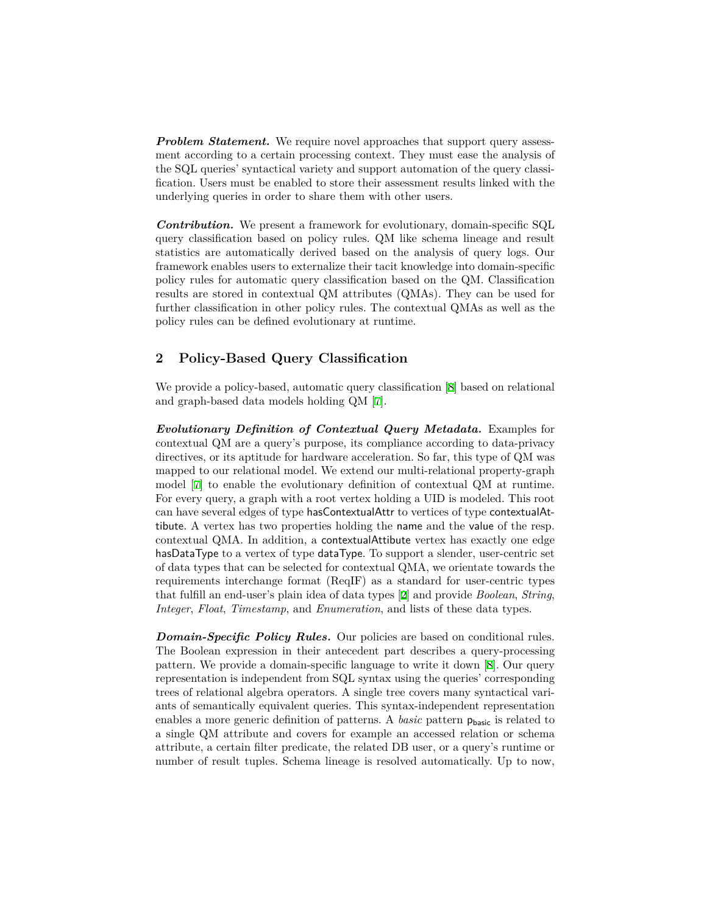*Problem Statement.* We require novel approaches that support query assessment according to a certain processing context. They must ease the analysis of the SQL queries' syntactical variety and support automation of the query classification. Users must be enabled to store their assessment results linked with the underlying queries in order to share them with other users.

*Contribution.* We present a framework for evolutionary, domain-specific SQL query classification based on policy rules. QM like schema lineage and result statistics are automatically derived based on the analysis of query logs. Our framework enables users to externalize their tacit knowledge into domain-specific policy rules for automatic query classification based on the QM. Classification results are stored in contextual QM attributes (QMAs). They can be used for further classification in other policy rules. The contextual QMAs as well as the policy rules can be defined evolutionary at runtime.

# **2 Policy-Based Query Classification**

We provide a policy-based, automatic query classification [[8](#page-4-0)] based on relational and graph-based data models holding QM [[7\]](#page-4-1).

*Evolutionary Definition of Contextual Query Metadata.* Examples for contextual QM are a query's purpose, its compliance according to data-privacy directives, or its aptitude for hardware acceleration. So far, this type of QM was mapped to our relational model. We extend our multi-relational property-graph model [\[7](#page-4-1)] to enable the evolutionary definition of contextual QM at runtime. For every query, a graph with a root vertex holding a UID is modeled. This root can have several edges of type hasContextualAttr to vertices of type contextualAttibute. A vertex has two properties holding the name and the value of the resp. contextual QMA. In addition, a contextualAttibute vertex has exactly one edge hasDataType to a vertex of type dataType. To support a slender, user-centric set of data types that can be selected for contextual QMA, we orientate towards the requirements interchange format (ReqIF) as a standard for user-centric types that fulfill an end-user's plain idea of data types [\[2](#page-4-2)] and provide *Boolean*, *String*, *Integer*, *Float*, *Timestamp*, and *Enumeration*, and lists of these data types.

*Domain-Specific Policy Rules.* Our policies are based on conditional rules. The Boolean expression in their antecedent part describes a query-processing pattern. We provide a domain-specific language to write it down [[8\]](#page-4-0). Our query representation is independent from SQL syntax using the queries' corresponding trees of relational algebra operators. A single tree covers many syntactical variants of semantically equivalent queries. This syntax-independent representation enables a more generic definition of patterns. A *basic* pattern  $p_{\text{basic}}$  is related to a single QM attribute and covers for example an accessed relation or schema attribute, a certain filter predicate, the related DB user, or a query's runtime or number of result tuples. Schema lineage is resolved automatically. Up to now,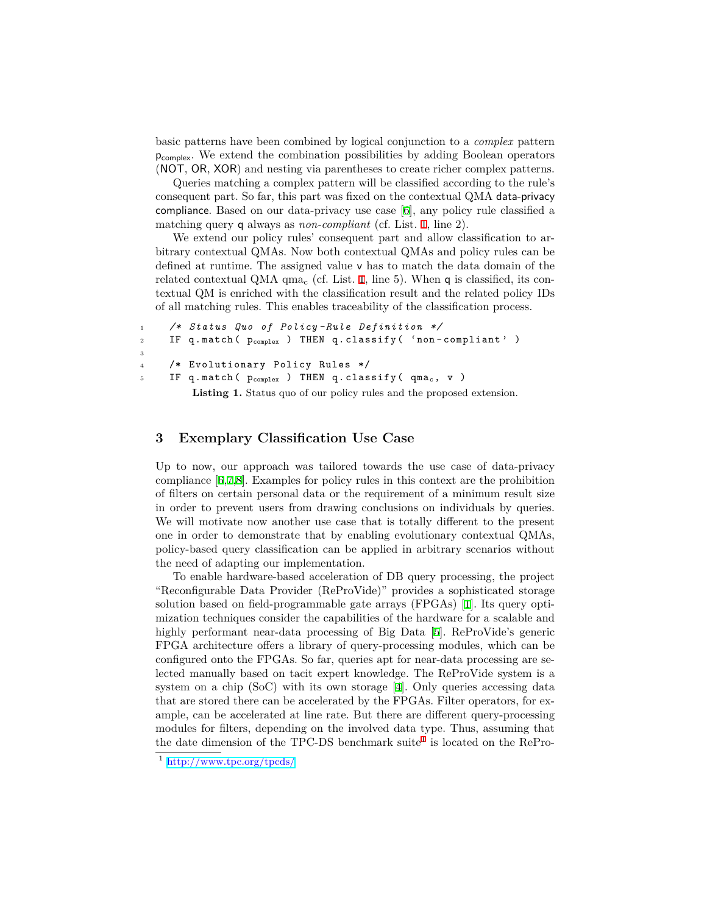basic patterns have been combined by logical conjunction to a *complex* pattern pcomplex. We extend the combination possibilities by adding Boolean operators (NOT, OR, XOR) and nesting via parentheses to create richer complex patterns.

Queries matching a complex pattern will be classified according to the rule's consequent part. So far, this part was fixed on the contextual QMA data-privacy compliance. Based on our data-privacy use case [[6\]](#page-4-3), any policy rule classified a matching query q always as *non-compliant* (cf. List. [1,](#page-2-0) line 2).

We extend our policy rules' consequent part and allow classification to arbitrary contextual QMAs. Now both contextual QMAs and policy rules can be defined at runtime. The assigned value v has to match the data domain of the related contextual QMA  $qma_c$  (cf. List. [1](#page-2-0), line 5). When q is classified, its contextual QM is enriched with the classification result and the related policy IDs of all matching rules. This enables traceability of the classification process.

```
1 /* Status Quo of Policy - Rule Definition */
2 IF q.match ( p_{\text{complex}} ) THEN q.classify ( 'non-compliant' )
3
4 /* Evolutionary Policy Rules */
5 IF q.match ( p_{\text{complex}} ) THEN q.classify ( qma<sub>c</sub>, v )
          Listing 1. Status quo of our policy rules and the proposed extension.
```
#### **3 Exemplary Classification Use Case**

Up to now, our approach was tailored towards the use case of data-privacy compliance [[6,](#page-4-3)[7,](#page-4-1)[8](#page-4-0)]. Examples for policy rules in this context are the prohibition of filters on certain personal data or the requirement of a minimum result size in order to prevent users from drawing conclusions on individuals by queries. We will motivate now another use case that is totally different to the present one in order to demonstrate that by enabling evolutionary contextual QMAs, policy-based query classification can be applied in arbitrary scenarios without the need of adapting our implementation.

To enable hardware-based acceleration of DB query processing, the project "Reconfigurable Data Provider (ReProVide)" provides a sophisticated storage solution based on field-programmable gate arrays (FPGAs) [[1\]](#page-4-4). Its query optimization techniques consider the capabilities of the hardware for a scalable and highly performant near-data processing of Big Data [[5\]](#page-4-5). ReProVide's generic FPGA architecture offers a library of query-processing modules, which can be configured onto the FPGAs. So far, queries apt for near-data processing are selected manually based on tacit expert knowledge. The ReProVide system is a system on a chip (SoC) with its own storage [[4\]](#page-4-6). Only queries accessing data that are stored there can be accelerated by the FPGAs. Filter operators, for example, can be accelerated at line rate. But there are different query-processing modules for filters, depending on the involved data type. Thus, assuming that the date dimension of the TPC-DS benchmark suite<sup>[1](#page-2-1)</sup> is located on the RePro-

<span id="page-2-1"></span><sup>1</sup> <http://www.tpc.org/tpcds/>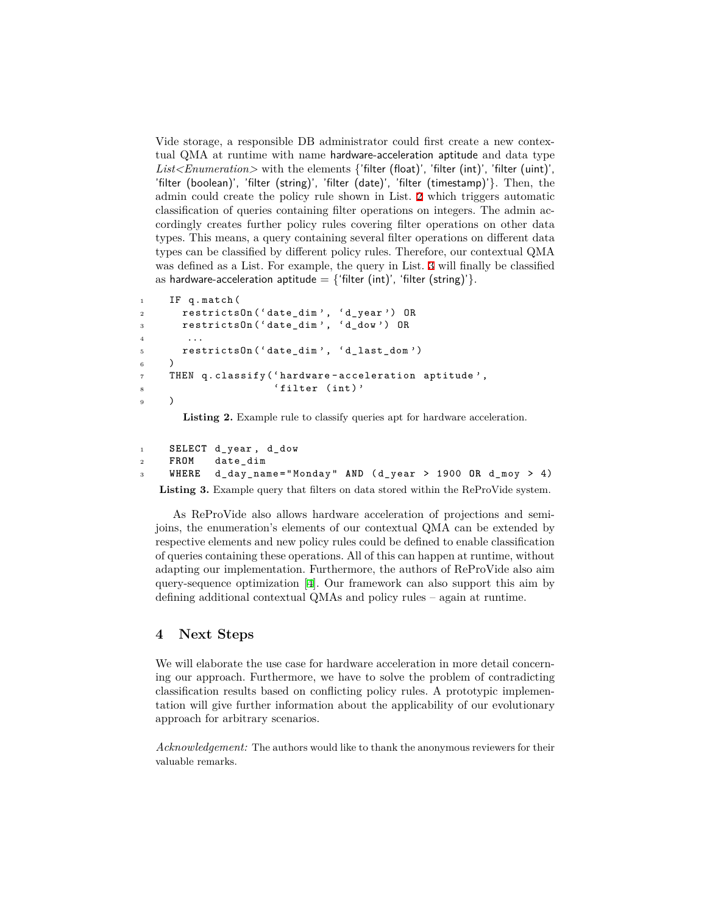Vide storage, a responsible DB administrator could first create a new contextual QMA at runtime with name hardware-acceleration aptitude and data type *List<Enumeration>* with the elements {'filter (float)', 'filter (int)', 'filter (uint)', 'filter (boolean)', 'filter (string)', 'filter (date)', 'filter (timestamp)'}. Then, the admin could create the policy rule shown in List. [2](#page-3-0) which triggers automatic classification of queries containing filter operations on integers. The admin accordingly creates further policy rules covering filter operations on other data types. This means, a query containing several filter operations on different data types can be classified by different policy rules. Therefore, our contextual QMA was defined as a List. For example, the query in List. [3](#page-3-1) will finally be classified as hardware-acceleration aptitude  $=$  {'filter (int)', 'filter (string)'}.

```
1 IF q.match (
2 restrictsOn ('date_dim', 'd_year') OR
3 restrictsOn ('date_dim', 'd_dow') OR
4 ...
5 restrictsOn ( ' date_dim ' , ' d_last_dom ')
6 )
7 THEN q . classify ( ' hardware - acceleration aptitude ' ,
8 ' filter (int)'
9 )
```
**Listing 2.** Example rule to classify queries apt for hardware acceleration.

```
1 SELECT d_year , d_dow
2 FROM date_dim
3 WHERE d_day_name = " Monday " AND ( d_year > 1900 OR d_moy > 4)
   Listing 3. Example query that filters on data stored within the ReProVide system.
```
As ReProVide also allows hardware acceleration of projections and semijoins, the enumeration's elements of our contextual QMA can be extended by respective elements and new policy rules could be defined to enable classification of queries containing these operations. All of this can happen at runtime, without adapting our implementation. Furthermore, the authors of ReProVide also aim query-sequence optimization [\[4](#page-4-6)]. Our framework can also support this aim by defining additional contextual QMAs and policy rules – again at runtime.

### **4 Next Steps**

We will elaborate the use case for hardware acceleration in more detail concerning our approach. Furthermore, we have to solve the problem of contradicting classification results based on conflicting policy rules. A prototypic implementation will give further information about the applicability of our evolutionary approach for arbitrary scenarios.

*Acknowledgement:* The authors would like to thank the anonymous reviewers for their valuable remarks.